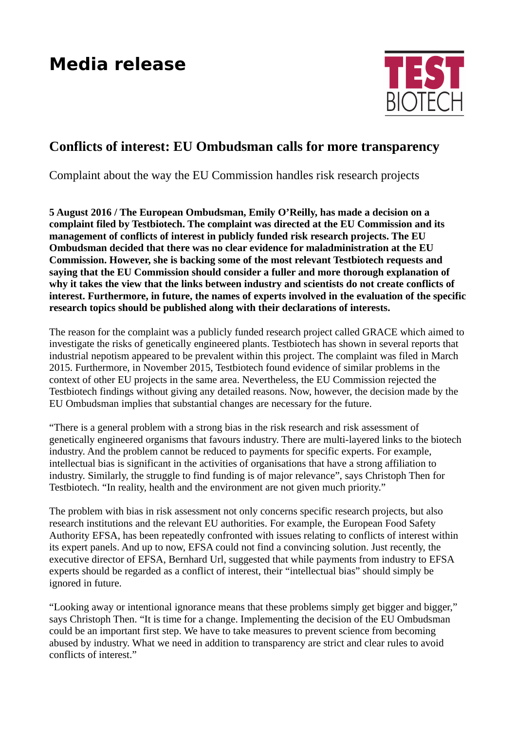## **Media release**



## **Conflicts of interest: EU Ombudsman calls for more transparency**

Complaint about the way the EU Commission handles risk research projects

**5 August 2016 / The European Ombudsman, Emily O'Reilly, has made a decision on a complaint filed by Testbiotech. The complaint was directed at the EU Commission and its management of conflicts of interest in publicly funded risk research projects. The EU Ombudsman decided that there was no clear evidence for maladministration at the EU Commission. However, she is backing some of the most relevant Testbiotech requests and saying that the EU Commission should consider a fuller and more thorough explanation of why it takes the view that the links between industry and scientists do not create conflicts of interest. Furthermore, in future, the names of experts involved in the evaluation of the specific research topics should be published along with their declarations of interests.** 

The reason for the complaint was a publicly funded research project called GRACE which aimed to investigate the risks of genetically engineered plants. Testbiotech has shown in several reports that industrial nepotism appeared to be prevalent within this project. The complaint was filed in March 2015. Furthermore, in November 2015, Testbiotech found evidence of similar problems in the context of other EU projects in the same area. Nevertheless, the EU Commission rejected the Testbiotech findings without giving any detailed reasons. Now, however, the decision made by the EU Ombudsman implies that substantial changes are necessary for the future.

"There is a general problem with a strong bias in the risk research and risk assessment of genetically engineered organisms that favours industry. There are multi-layered links to the biotech industry. And the problem cannot be reduced to payments for specific experts. For example, intellectual bias is significant in the activities of organisations that have a strong affiliation to industry. Similarly, the struggle to find funding is of major relevance", says Christoph Then for Testbiotech. "In reality, health and the environment are not given much priority."

The problem with bias in risk assessment not only concerns specific research projects, but also research institutions and the relevant EU authorities. For example, the European Food Safety Authority EFSA, has been repeatedly confronted with issues relating to conflicts of interest within its expert panels. And up to now, EFSA could not find a convincing solution. Just recently, the executive director of EFSA, Bernhard Url, suggested that while payments from industry to EFSA experts should be regarded as a conflict of interest, their "intellectual bias" should simply be ignored in future.

"Looking away or intentional ignorance means that these problems simply get bigger and bigger," says Christoph Then. "It is time for a change. Implementing the decision of the EU Ombudsman could be an important first step. We have to take measures to prevent science from becoming abused by industry. What we need in addition to transparency are strict and clear rules to avoid conflicts of interest."